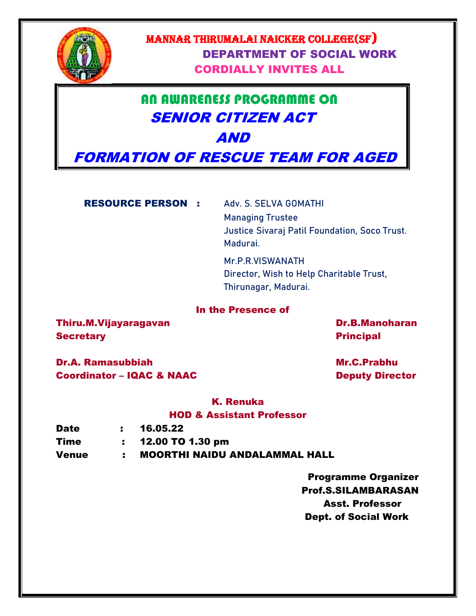

## MANNAR THIRUMALAI NAICKER COLLEGE(SF) DEPARTMENT OF SOCIAL WORK CORDIALLY INVITES ALL

# AN AWARENESS PROGRAMME ON SENIOR CITIZEN ACT AND

FORMATION OF RESCUE TEAM FOR AGED

RESOURCE PERSON : **Adv. S. SELVA GOMATHI**

**Managing Trustee Justice Sivaraj Patil Foundation, Soco Trust. Madurai.** 

**Mr.P.R.VISWANATH Director, Wish to Help Charitable Trust, Thirunagar, Madurai.**

### In the Presence of

Thiru.M.Vijayaragavan Dr.B.Manoharan Dr.B.Manoharan Secretary **Principal** 

Dr.A. Ramasubbiah Mr.C.Prabhu Coordinator – IQAC & NAAC Deputy Director

K. Renuka

### HOD & Assistant Professor

| <b>Date</b>  | : 16.05.22                           |
|--------------|--------------------------------------|
| Time         | $: 12.00$ TO 1.30 pm                 |
| <b>Venue</b> | <b>MOORTHI NAIDU ANDALAMMAL HALL</b> |

 Programme Organizer Prof.S.SILAMBARASAN Asst. Professor Dept. of Social Work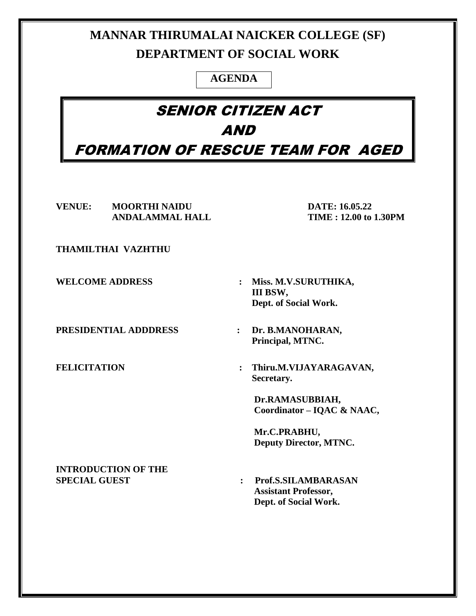# **MANNAR THIRUMALAI NAICKER COLLEGE (SF) DEPARTMENT OF SOCIAL WORK**

## **AGENDA**

# SENIOR CITIZEN ACT AND FORMATION OF RESCUE TEAM FOR AGED

**VENUE: MOORTHI NAIDU DATE: 16.05.22 ANDALAMMAL HALL TIME : 12.00 to 1.30PM**

**THAMILTHAI VAZHTHU** 

**PRESIDENTIAL ADDDRESS : Dr. B.MANOHARAN,** 

- **WELCOME ADDRESS : Miss. M.V.SURUTHIKA, III BSW, Dept. of Social Work.**
	- **Principal, MTNC.**
- **FELICITATION : Thiru.M.VIJAYARAGAVAN, Secretary.**

**Dr.RAMASUBBIAH, Coordinator – IQAC & NAAC,**

**Mr.C.PRABHU, Deputy Director, MTNC.**

**INTRODUCTION OF THE** 

**SPECIAL GUEST : Prof.S.SILAMBARASAN Assistant Professor, Dept. of Social Work.**